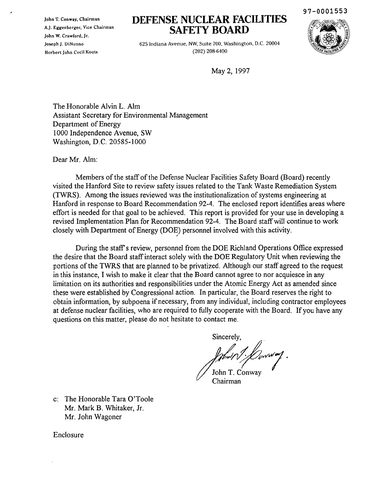John T. Conway. Chairman A.J. Eggenberger. Vice Chairman John W. Crawford. Jr. Joseph J. DiNunno HcrbertJohn Cecil Kouts

# **DEFENSE NUCLEAR FACILITIES SAFETY BOARD**



97-0001553

625 Indiana Avenue, NW, Suite 700, Washington, D.C. 20004 (202) 208-6400

May 2,1997

The Honorable Alvin L. Aim Assistant Secretary for Environmental Management Department of Energy 1000 Independence Avenue, SW Washington, D.C. 20585-1000

Dear Mr. Aim:

Members of the staff of the Defense Nuclear Facilities Safety Board (Board) recently visited the Hanford Site to review safety issues related to the Tank Waste Remediation System (TWRS). Among the issues reviewed was the institutionalization of systems engineering at Hanford in response to Board Recommendation 92-4. The enclosed report identifies areas where effort is needed for that goal to be achieved. This report is provided for your use in developing a revised Implementation Plan for Recommendation 92-4. The Board staffwill continue to work closely with Department of Energy (DOE) personnel involved with this activity.

During the staff's review, personnel from the DOE Richland Operations Office expressed the desire that the Board staffinteract solely with the DOE Regulatory Unit when reviewing the portions of the TWRS that are planned to be privatized. Although our staff agreed to the request in this instance, I wish to make it clear that the Board cannot agree to nor acquiesce in any limitation on its authorities and responsibilities under the Atomic Energy Act as amended since these were established by Congressional action. In particular, the Board reserves the right to· obtain information, by subpoena if necessary, from any individual, including contractor employees at defense nuclear facilities, who are required to fully cooperate with the Board. If you have any questions on this matter, please do not hesitate to contact me.

> Sincerely, John T. Conway

Chairman

c: The Honorable Tara O'Toole Mr. Mark B. Whitaker, Jr. Mr. John Wagoner

Enclosure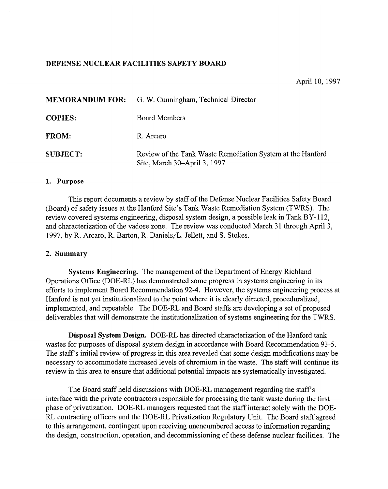## DEFENSE NUCLEAR FACILITIES SAFETY BOARD

## April 10, 1997

|                 | <b>MEMORANDUM FOR:</b> G. W. Cunningham, Technical Director                                |
|-----------------|--------------------------------------------------------------------------------------------|
| <b>COPIES:</b>  | <b>Board Members</b>                                                                       |
| <b>FROM:</b>    | R. Arcaro                                                                                  |
| <b>SUBJECT:</b> | Review of the Tank Waste Remediation System at the Hanford<br>Site, March 30–April 3, 1997 |

## 1. Purpose

 $\ddot{\phantom{a}}$ 

This report documents a review by staff of the Defense Nuclear Facilities Safety Board (Board) of safety issues at the Hanford Site's Tank Waste Remediation System (TWRS). The review covered systems engineering, disposal system design, a possible leak in Tank BY-112, and characterization of the vadose zone. The review was conducted March 31 through April 3, 1997, by R. Arcaro, R. Barton, R. Daniels, L. Jellett, and S. Stokes.

#### 2. Summary

Systems Engineering. The management of the Department of Energy Richland Operations Office (DOE-RL) has demonstrated some progress in systems engineering in its efforts to implement Board Recommendation 92-4. However, the systems engineering process at Hanford is not yet institutionalized to the point where it is clearly directed, proceduralized, implemented, and repeatable. The DOE-RL and Board staffs are developing a set of proposed deliverables that will demonstrate the institutionalization of systems engineering for the TWRS.

Disposal System Design. DOE-RL has directed characterization of the Hanford tank wastes for purposes of disposal system design in accordance with Board Recommendation 93-5. The staff's initial review of progress in this area revealed that some design modifications may be necessary to accommodate increased levels of chromium in the waste. The staff will continue its review in this area to ensure that additional potential impacts are systematically investigated.

The Board staff held discussions with DOE-RL management regarding the staff's interface with the private contractors responsible for processing the tank waste during the first phase of privatization. DOE-RL managers requested that the staff interact solely with the DOE-RL contracting officers and the DOE-RL Privatization Regulatory Unit. The Board staff agreed to this arrangement, contingent upon receiving unencumbered access to information regarding the design, construction, operation, and decommissioning of these defense nuclear facilities. The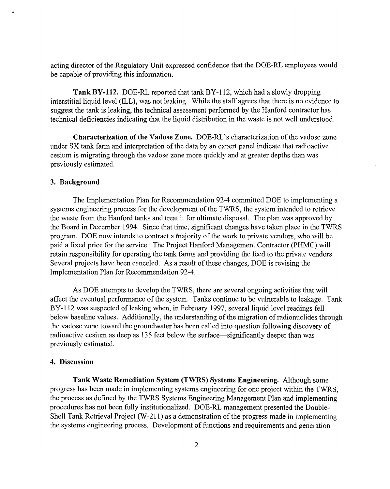acting director of the Regulatory Unit expressed confidence that the DOE-RL employees would be capable of providing this information.

Tank BY-1l2. DOE-RL reported that tank BY-112, which had a slowly dropping interstitial liquid level (ILL), was not leaking. While the staff agrees that there is no evidence to suggest the tank is leaking, the technical assessment performed by the Hanford contractor has technical deficiencies indicating that the liquid distribution in the waste is not well understood.

Characterization of the Vadose Zone. DOE-RL's characterization of the vadose zone under SX tank farm and interpretation of the data by an expert panel indicate that radioactive cesium is migrating through the vadose zone more quickly and at greater depths than was previously estimated.

## 3. Background

The Implementation Plan for Recommendation 92-4 committed DOE to implementing a systems engineering process for the development of the TWRS, the system intended to retrieve the waste from the Hanford tanks and treat it for ultimate disposal. The plan was approved by the Board in December 1994. Since that time, significant changes have taken place in the TWRS program. DOE now intends to contract a majority of the work to private vendors, who will be paid a fixed price for the service. The Project Hanford Management Contractor (PHMC) will retain responsibility for operating the tank farms and providing the feed to the private vendors. Several projects have been canceled. As a result of these changes, DOE is revising the Implementation Plan for Recommendation 92-4.

As DOE attempts to develop the TWRS, there are several ongoing activities that will affect the eventual performance of the system. Tanks continue to be vulnerable to leakage. Tank BY-112 was suspected of leaking when, in February 1997, several liquid level readings fell below baseline values. Additionally, the understanding of the migration of radionuclides through the vadose zone toward the groundwater has been called into question following discovery of radioactive cesium as deep as 135 feet below the surface—significantly deeper than was previously estimated.

# 4. Discussion

Tank Waste Remediation System (TWRS) Systems Engineering. Although some progress has been made in implementing systems engineering for one project within the TWRS, the process as defined by the TWRS Systems Engineering Management Plan and implementing procedures has not been fully institutionalized. DOE-RL management presented the Double-Shell Tank Retrieval Project  $(W-211)$  as a demonstration of the progress made in implementing the systems engineering process. Development of functions and requirements and generation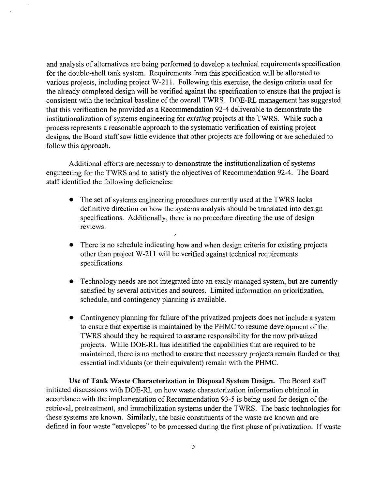and analysis of alternatives are being performed to develop a technical requirements specification for the double-shell tank system. Requirements from this specification will be allocated to various projects, including project W-211. Following this exercise, the design criteria used for the already completed design will be verified against the specification to ensure that the project is consistent with the technical baseline of the overall TWRS. DOE-RL management has suggested that this verification be provided as a Recommendation 92-4 deliverable to demonstrate the institutionalization of systems engineering for *existing* projects at the TWRS. While such a process represents a reasonable approach to the systematic verification of existing project designs, the Board staff saw little evidence that other projects are following or are scheduled to follow this approach.

Additional efforts are necessary to demonstrate the institutionalization of systems engineering for the TWRS and to satisfy the objectives of Recommendation 92-4. The Board staff identified the following deficiencies:

- The set of systems engineering procedures currently used at the TWRS lacks definitive direction on how the systems analysis should be translated into design specifications. Additionally, there is no procedure directing the use of design reviews.
- There is no schedule indicating how and when design criteria for existing projects other than project W-211 will be verified against technical requirements specifications.
- Technology needs are not integrated into an easily managed system, but are currently satisfied by several activities and sources. Limited information on prioritization, schedule, and contingency planning is available.
- $\bullet$  Contingency planning for failure of the privatized projects does not include a system to ensure that expertise is maintained by the PHMC to resume development of the TWRS should they be required to assume responsibility for the now privatized projects. While DOE-RL has identified the capabilities that are required to be maintained, there is no method to ensure that necessary projects remain funded or that essential individuals (or their equivalent) remain with the PHMC.

Use of Tank Waste Characterization in Disposal System Design. The Board staff initiated discussions with DOE-RL on how waste characterization information obtained in accordance with the implementation of Recommendation 93-5 is being used for design of the retrieval, pretreatment, and immobilization systems under the TWRS. The basic technologies for these systems are known. Similarly, the basic constituents of the waste are known and are defined in four waste "envelopes" to be processed during the first phase of privatization. If waste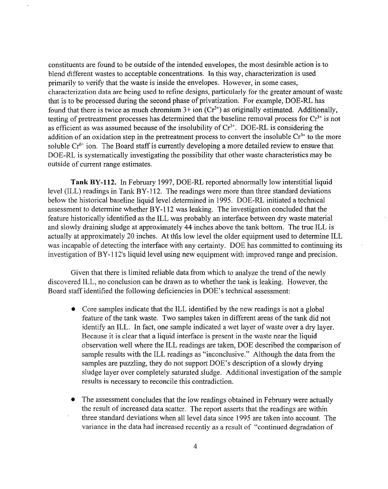constituents are found to be outside of the intended envelopes, the most desirable action is to blend different wastes to acceptable concentrations. In this way, characterization is used primarily to verify that the waste is inside the envelopes. However, in some cases, characterization data are being used to refine designs, particularly for the greater amount of waste that is to be processed during the second phase of privatization. For example, DOE-RL has found that there is twice as much chromium  $3+$  ion  $(Cr^{3+})$  as originally estimated. Additionally, testing of pretreatment processes has determined that the baseline removal process for  $Cr<sup>3+</sup>$  is not as efficient as was assumed because of the insolubility of  $Cr<sup>3+</sup>$ . DOE-RL is considering the addition of an oxidation step in the pretreatment process to convert the insoluble  $Cr^{3+}$  to the more soluble  $Cr^{6+}$  ion. The Board staff is currently developing a more detailed review to ensure that DOE-RL is systematically investigating the possibility that other waste characteristics may be outside of current range estimates.

**Tank BY-112.** In February 1997, DOE-RL reported abnormally low interstitial liquid level (ILL) readings in Tank BY-112. The readings were more than three standard deviations below the historical baseline liquid level determined in 1995. DOE-RL initiated a technical assessment to determine whether BY-112 was leaking. The investigation concluded that the feature historically identified as the ILL was probably an interface between dry waste material and slowly draining sludge at approximately 44· inches above the tank bottom. The true ILL is actually at approximately 20 inches. At this low level the older equipment used to determine ILL was incapable of detecting the interface with any certainty. DOE has committed to continuing its investigation ofBY-112's liquid level using new equipment with improved range and precision.

Given that there is limited reliable data from which to analyze the trend of the newly discovered ILL, no conclusion can be drawn as to whether the tank is leaking. However, the Board staff identified the following deficiencies in DOE's technical assessment:

- Core samples indicate that the ILL identified by the new readings is not a global feature of the tank waste. Two samples taken in different areas of the tank did not identify an ILL. In fact, one sample indicated a wet layer of waste over a dry layer. Because it is clear that a liquid interface is present in the waste near the liquid observation well where the ILL readings are taken, DOE described the comparison of sample results with the ILL readings as "inconclusive." Although the data from the samples are puzzling, they do not support DOE's description of a slowly drying sludge layer over completely saturated sludge. Additional investigation of the sample results is necessary to reconcile this contradiction.
- The assessment concludes that the low readings obtained in February were actually the result of increased data scatter. The report asserts that the readings are within three standard deviations when all level data since 1995 are taken into account. The variance in the data had increased recently as a result of "continued degradation of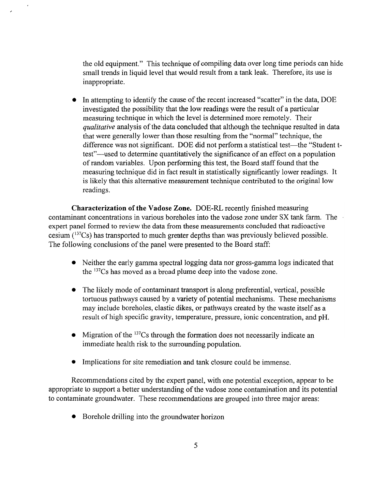the old equipment." This technique of compiling data over long time periods can hide small trends in liquid level that would result from a tank leak. Therefore, its use is inappropriate.

In attempting to identify the cause of the recent increased "scatter" in the data, DOE investigated the possibility that the low readings were the result of a particular measuring technique in which the level is determined more remotely. Their *qualitative* analysis of the data concluded that although the technique resulted in data that were generally lower than those resulting from the "normal" technique, the difference was not significant. DOE did not perform a statistical test—the "Student ttest"-used to determine quantitatively the significance of an effect on a population of random variables. Upon performing this test, the Board staff found that the measuring technique did in fact result in statistically significantly lower readings. It is likely that this alternative measurement technique contributed to the original low readings.

Characterization of the Vadose Zone. DOE-RL recently finished measuring contaminant concentrations in various boreholes into the vadose zone under SX tank farm. The expert panel formed to review the data from these measurements concluded that radioactive cesium  $(^{137}Cs)$  has transported to much greater depths than was previously believed possible. The following conclusions of the panel were presented to the Board staff:

- Neither the early gamma spectral logging data nor gross-gamma logs indicated that the 137Cs has moved as a broad plume deep into the vadose zone.
- The likely mode of contaminant transport is along preferential, vertical, possible tortuous pathways caused by a variety of potential mechanisms. These mechanisms may include boreholes, clastic dikes, or pathways created by the waste itself as a result of high specific gravity, temperature, pressure, ionic concentration, and pH.
- Migration of the  $137Cs$  through the formation does not necessarily indicate an immediate health risk to the surrounding population.
- Implications for site remediation and tank closure could be immense.

Recommendations cited by the expert panel, with one potential exception, appear to be appropriate to support a better understanding of the vadose zone contamination and its potential to contaminate groundwater. These recommendations are grouped into three major areas:

• Borehole drilling into the groundwater horizon